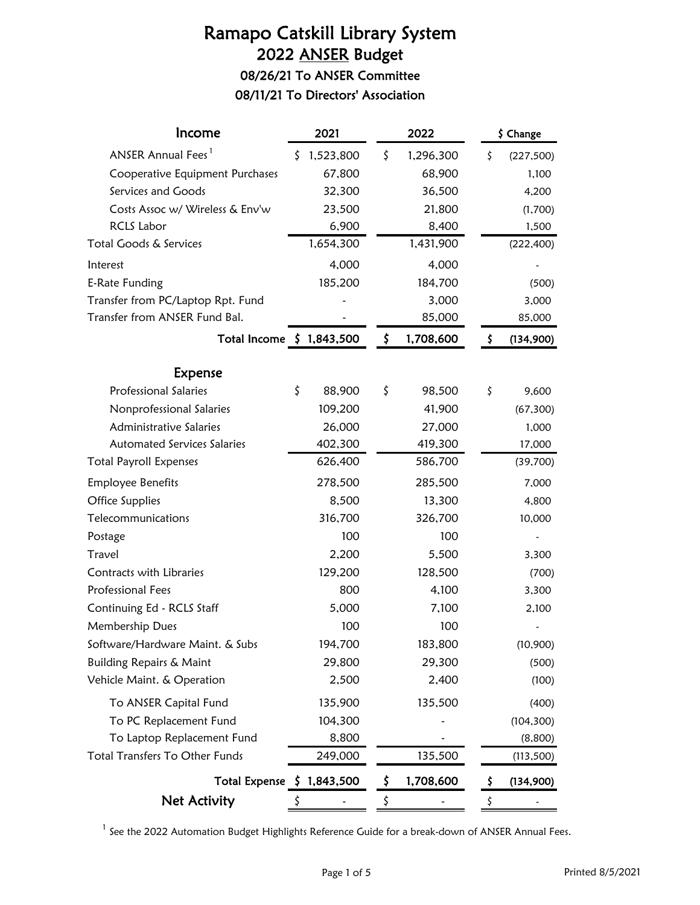# Ramapo Catskill Library System 2022 ANSER Budget 08/26/21 To ANSER Committee

08/11/21 To Directors' Association

| Income                               | 2021            | 2022 |           | \$ Change |            |  |
|--------------------------------------|-----------------|------|-----------|-----------|------------|--|
| ANSER Annual Fees <sup>1</sup>       | \$<br>1,523,800 | \$   | 1,296,300 | \$        | (227, 500) |  |
| Cooperative Equipment Purchases      | 67,800          |      | 68,900    |           | 1,100      |  |
| Services and Goods                   | 32,300          |      | 36,500    |           | 4,200      |  |
| Costs Assoc w/ Wireless & Env'w      | 23,500          |      | 21,800    |           | (1,700)    |  |
| <b>RCLS Labor</b>                    | 6,900           |      | 8,400     |           | 1,500      |  |
| Total Goods & Services               | 1,654,300       |      | 1,431,900 |           | (222, 400) |  |
| Interest                             | 4,000           |      | 4,000     |           |            |  |
| E-Rate Funding                       | 185,200         |      | 184,700   |           | (500)      |  |
| Transfer from PC/Laptop Rpt. Fund    |                 |      | 3,000     |           | 3,000      |  |
| Transfer from ANSER Fund Bal.        |                 |      | 85,000    |           | 85,000     |  |
| Total Income $\frac{1}{2}$ 1,843,500 |                 | \$   | 1,708,600 | \$        | (134,900)  |  |
| <b>Expense</b>                       |                 |      |           |           |            |  |
| <b>Professional Salaries</b>         | \$<br>88,900    | \$   | 98,500    | \$        | 9,600      |  |
| Nonprofessional Salaries             | 109,200         |      | 41,900    |           | (67, 300)  |  |
| Administrative Salaries              | 26,000          |      | 27,000    |           | 1,000      |  |
| <b>Automated Services Salaries</b>   | 402,300         |      | 419,300   |           | 17,000     |  |
| <b>Total Payroll Expenses</b>        | 626,400         |      | 586,700   |           | (39,700)   |  |
| <b>Employee Benefits</b>             | 278,500         |      | 285,500   |           | 7,000      |  |
| Office Supplies                      | 8,500           |      | 13,300    |           | 4,800      |  |
| Telecommunications                   | 316,700         |      | 326,700   |           | 10,000     |  |
| Postage                              | 100             |      | 100       |           |            |  |
| Travel                               | 2,200           |      | 5,500     |           | 3,300      |  |
| Contracts with Libraries             | 129,200         |      | 128,500   |           | (700)      |  |
| Professional Fees                    | 800             |      | 4,100     |           | 3,300      |  |
| Continuing Ed - RCLS Staff           | 5,000           |      | 7,100     |           | 2,100      |  |
| Membership Dues                      | 100             |      | 100       |           |            |  |
| Software/Hardware Maint. & Subs      | 194,700         |      | 183,800   |           | (10, 900)  |  |
| <b>Building Repairs &amp; Maint</b>  | 29,800          |      | 29,300    |           | (500)      |  |
| Vehicle Maint. & Operation           | 2,500           |      | 2,400     |           | (100)      |  |
| To ANSER Capital Fund                | 135,900         |      | 135,500   |           | (400)      |  |
| To PC Replacement Fund               | 104,300         |      |           |           | (104, 300) |  |
| To Laptop Replacement Fund           | 8,800           |      |           |           | (8,800)    |  |
| Total Transfers To Other Funds       | 249,000         |      | 135,500   |           | (113,500)  |  |
| Total Expense $\;$ 1,843,500         |                 | \$.  | 1,708,600 | \$        | (134,900)  |  |
| <b>Net Activity</b>                  |                 |      |           | \$        |            |  |

 $<sup>1</sup>$  See the 2022 Automation Budget Highlights Reference Guide for a break-down of ANSER Annual Fees.</sup>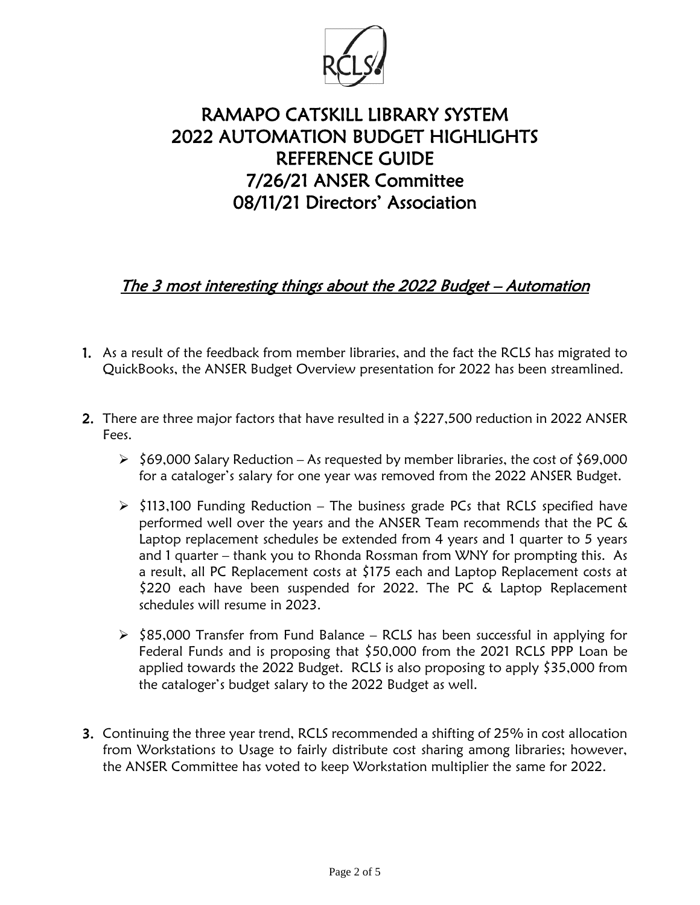

# RAMAPO CATSKILL LIBRARY SYSTEM 2022 AUTOMATION BUDGET HIGHLIGHTS REFERENCE GUIDE 7/26/21 ANSER Committee 08/11/21 Directors' Association

## The 3 most interesting things about the 2022 Budget – Automation

- 1. As a result of the feedback from member libraries, and the fact the RCLS has migrated to QuickBooks, the ANSER Budget Overview presentation for 2022 has been streamlined.
- 2. There are three major factors that have resulted in a \$227,500 reduction in 2022 ANSER Fees.
	- $\ge$  \$69,000 Salary Reduction As requested by member libraries, the cost of \$69,000 for a cataloger's salary for one year was removed from the 2022 ANSER Budget.
	- $\triangleright$  \$113,100 Funding Reduction The business grade PCs that RCLS specified have performed well over the years and the ANSER Team recommends that the PC & Laptop replacement schedules be extended from 4 years and 1 quarter to 5 years and 1 quarter – thank you to Rhonda Rossman from WNY for prompting this. As a result, all PC Replacement costs at \$175 each and Laptop Replacement costs at \$220 each have been suspended for 2022. The PC & Laptop Replacement schedules will resume in 2023.
	- $\ge$  \$85,000 Transfer from Fund Balance RCLS has been successful in applying for Federal Funds and is proposing that \$50,000 from the 2021 RCLS PPP Loan be applied towards the 2022 Budget. RCLS is also proposing to apply \$35,000 from the cataloger's budget salary to the 2022 Budget as well.
- 3. Continuing the three year trend, RCLS recommended a shifting of 25% in cost allocation from Workstations to Usage to fairly distribute cost sharing among libraries; however, the ANSER Committee has voted to keep Workstation multiplier the same for 2022.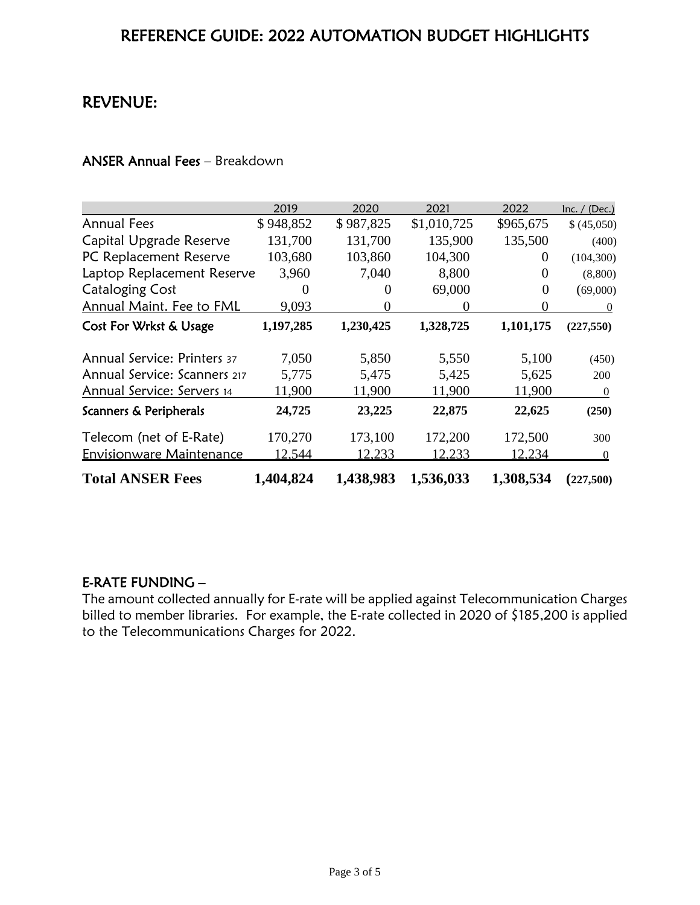## REFERENCE GUIDE: 2022 AUTOMATION BUDGET HIGHLIGHTS

## REVENUE:

#### ANSER Annual Fees – Breakdown

|                                    | 2019      | 2020      | 2021        | 2022      | Inc. $/$ (Dec.)  |
|------------------------------------|-----------|-----------|-------------|-----------|------------------|
| <b>Annual Fees</b>                 | \$948,852 | \$987,825 | \$1,010,725 | \$965,675 | \$ (45,050)      |
| Capital Upgrade Reserve            | 131,700   | 131,700   | 135,900     | 135,500   | (400)            |
| PC Replacement Reserve             | 103,680   | 103,860   | 104,300     | $\Omega$  | (104, 300)       |
| Laptop Replacement Reserve         | 3,960     | 7,040     | 8,800       | $\theta$  | (8,800)          |
| <b>Cataloging Cost</b>             |           | $\theta$  | 69,000      | 0         | (69,000)         |
| Annual Maint. Fee to FML           | 9,093     | $\Omega$  | $\theta$    | $\Omega$  | $\theta$         |
| Cost For Wrkst & Usage             | 1,197,285 | 1,230,425 | 1,328,725   | 1,101,175 | (227, 550)       |
| <b>Annual Service: Printers 37</b> | 7,050     | 5,850     | 5,550       | 5,100     | (450)            |
| Annual Service: Scanners 217       | 5,775     | 5,475     | 5,425       | 5,625     | 200              |
| Annual Service: Servers 14         | 11,900    | 11,900    | 11,900      | 11,900    | $\theta$         |
| Scanners & Peripherals             | 24,725    | 23,225    | 22,875      | 22,625    | (250)            |
| Telecom (net of E-Rate)            | 170,270   | 173,100   | 172,200     | 172,500   | 300              |
| <b>Envisionware Maintenance</b>    | 12,544    | 12,233    | 12,233      | 12,234    | $\boldsymbol{0}$ |
| <b>Total ANSER Fees</b>            | 1,404,824 | 1,438,983 | 1,536,033   | 1,308,534 | (227,500)        |

## E-RATE FUNDING –

The amount collected annually for E-rate will be applied against Telecommunication Charges billed to member libraries. For example, the E-rate collected in 2020 of \$185,200 is applied to the Telecommunications Charges for 2022.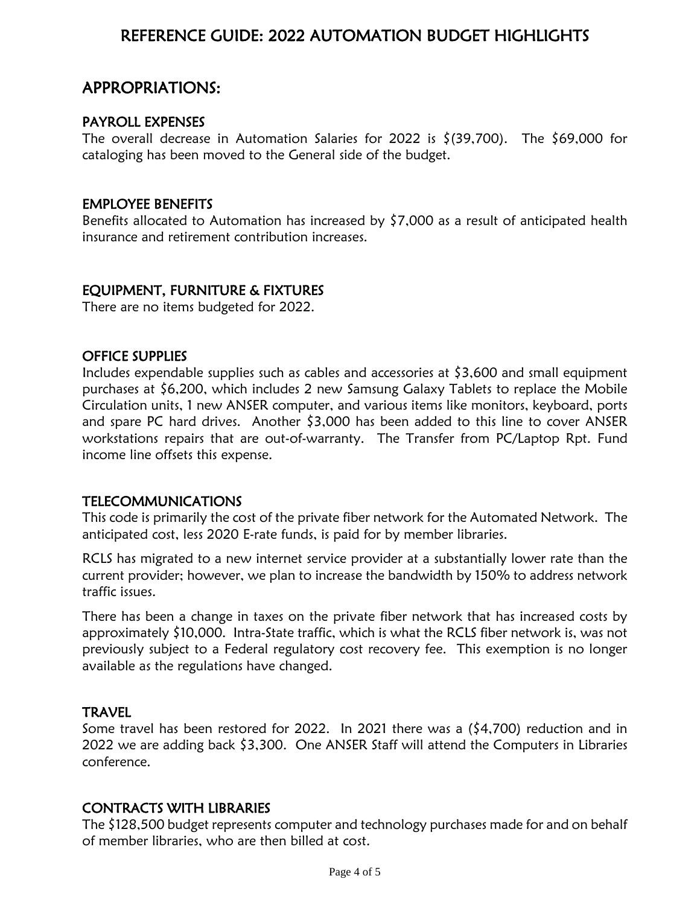## REFERENCE GUIDE: 2022 AUTOMATION BUDGET HIGHLIGHTS

## APPROPRIATIONS:

#### PAYROLL EXPENSES

The overall decrease in Automation Salaries for 2022 is  $\zeta$ (39,700). The \$69,000 for cataloging has been moved to the General side of the budget.

#### EMPLOYEE BENEFITS

Benefits allocated to Automation has increased by \$7,000 as a result of anticipated health insurance and retirement contribution increases.

## EQUIPMENT, FURNITURE & FIXTURES

There are no items budgeted for 2022.

### OFFICE SUPPLIES

Includes expendable supplies such as cables and accessories at \$3,600 and small equipment purchases at \$6,200, which includes 2 new Samsung Galaxy Tablets to replace the Mobile Circulation units, 1 new ANSER computer, and various items like monitors, keyboard, ports and spare PC hard drives. Another \$3,000 has been added to this line to cover ANSER workstations repairs that are out-of-warranty. The Transfer from PC/Laptop Rpt. Fund income line offsets this expense.

## TELECOMMUNICATIONS

This code is primarily the cost of the private fiber network for the Automated Network. The anticipated cost, less 2020 E-rate funds, is paid for by member libraries.

RCLS has migrated to a new internet service provider at a substantially lower rate than the current provider; however, we plan to increase the bandwidth by 150% to address network traffic issues.

There has been a change in taxes on the private fiber network that has increased costs by approximately \$10,000. Intra-State traffic, which is what the RCLS fiber network is, was not previously subject to a Federal regulatory cost recovery fee. This exemption is no longer available as the regulations have changed.

## **TRAVEL**

Some travel has been restored for 2022. In 2021 there was a (\$4,700) reduction and in 2022 we are adding back \$3,300. One ANSER Staff will attend the Computers in Libraries conference.

## CONTRACTS WITH LIBRARIES

The \$128,500 budget represents computer and technology purchases made for and on behalf of member libraries, who are then billed at cost.